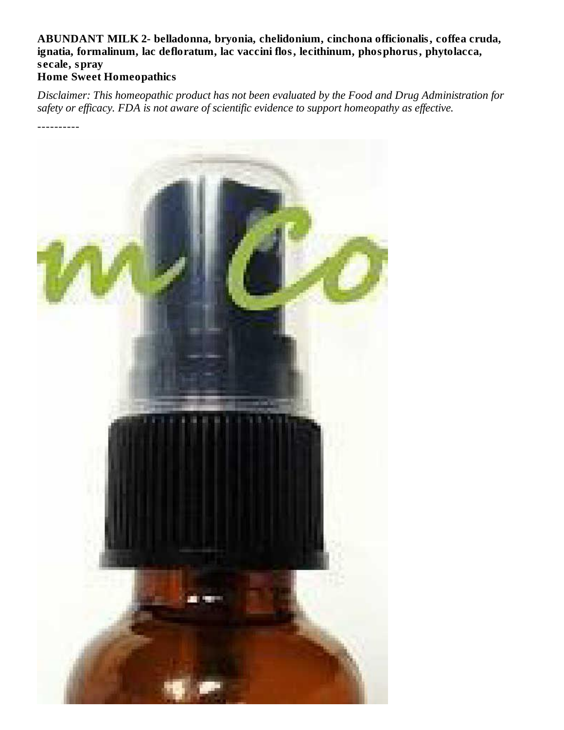## **ABUNDANT MILK 2- belladonna, bryonia, chelidonium, cinchona officionalis, coffea cruda, ignatia, formalinum, lac defloratum, lac vaccini flos, lecithinum, phosphorus, phytolacca, s ecale, spray**

## **Home Sweet Homeopathics**

*Disclaimer: This homeopathic product has not been evaluated by the Food and Drug Administration for safety or efficacy. FDA is not aware of scientific evidence to support homeopathy as effective.*

----------

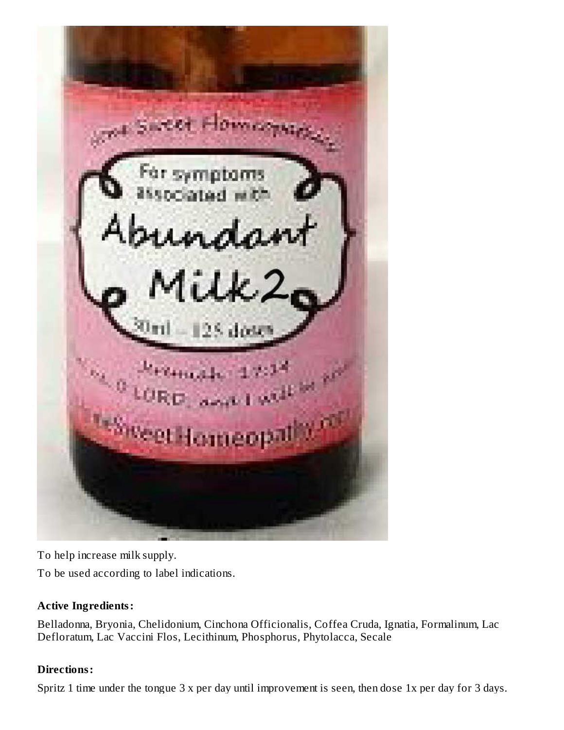«motoms 25 dotte Hurst. veet Homeopathy.

To help increase milk supply.

To be used according to label indications.

### **Active Ingredients:**

Belladonna, Bryonia, Chelidonium, Cinchona Officionalis, Coffea Cruda, Ignatia, Formalinum, Lac Defloratum, Lac Vaccini Flos, Lecithinum, Phosphorus, Phytolacca, Secale

#### **Directions:**

Spritz 1 time under the tongue 3 x per day until improvement is seen, then dose 1x per day for 3 days.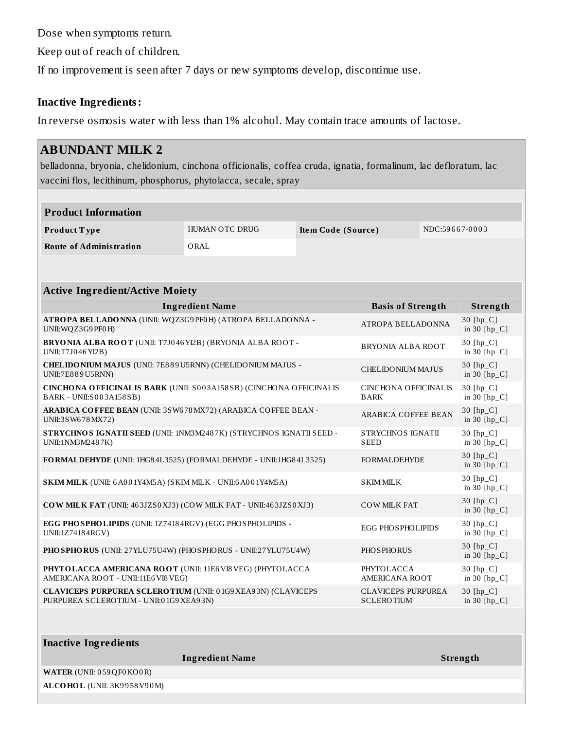Dose when symptoms return.

Keep out of reach of children.

If no improvement is seen after 7 days or new symptoms develop, discontinue use.

#### **Inactive Ingredients:**

In reverse osmosis water with less than 1% alcohol. May contain trace amounts of lactose.

## **ABUNDANT MILK 2**

belladonna, bryonia, chelidonium, cinchona officionalis, coffea cruda, ignatia, formalinum, lac defloratum, lac vaccini flos, lecithinum, phosphorus, phytolacca, secale, spray

| <b>Product Information</b>                                                                                                                                         |                        |                                      |                                            |                               |                             |
|--------------------------------------------------------------------------------------------------------------------------------------------------------------------|------------------------|--------------------------------------|--------------------------------------------|-------------------------------|-----------------------------|
| Product Type                                                                                                                                                       | <b>HUMAN OTC DRUG</b>  | NDC:59667-0003<br>Item Code (Source) |                                            |                               |                             |
| <b>Route of Administration</b>                                                                                                                                     | ORAL                   |                                      |                                            |                               |                             |
|                                                                                                                                                                    |                        |                                      |                                            |                               |                             |
| <b>Active Ingredient/Active Moiety</b>                                                                                                                             |                        |                                      |                                            |                               |                             |
|                                                                                                                                                                    | <b>Ingredient Name</b> |                                      | <b>Basis of Strength</b>                   |                               | Strength                    |
| ATROPA BELLADONNA (UNII: WQZ3G9PF0H) (ATROPA BELLADONNA -<br><b>ATROPA BELLADONNA</b><br>UNII: WQ Z3G9 PF0 H)                                                      |                        |                                      |                                            | 30 $[hp_C]$<br>in 30 $[hp_C]$ |                             |
| BRYONIA ALBA ROOT (UNII: T7J046YI2B) (BRYONIA ALBA ROOT -<br><b>BRYONIA ALBA ROOT</b><br>UNII:T7J046 YI2B)                                                         |                        |                                      |                                            | 30 [hp_C]<br>in 30 $[hp_C]$   |                             |
| CHELIDONIUM MAJUS (UNII: 7E889U5RNN) (CHELIDONIUM MAJUS -<br>UNII:7E889U5RNN)                                                                                      |                        |                                      | CHELIDONIUM MAJUS                          |                               | 30 [hp C]<br>in 30 [hp_C]   |
| <b>CINCHONA OFFICINALIS BARK (UNII: S003A158SB) (CINCHONA OFFICINALIS</b><br><b>BARK - UNII:S003A158SB)</b>                                                        |                        |                                      | <b>CINCHONA OFFICINALIS</b><br><b>BARK</b> |                               | 30 [hp C]<br>in 30 $[hp_C]$ |
| ARABICA COFFEE BEAN (UNII: 3SW678MX72) (ARABICA COFFEE BEAN -<br>UNII:3SW678MX72)                                                                                  |                        |                                      | ARABICA COFFEE BEAN                        |                               | 30 [hp C]<br>in 30 [hp_C]   |
| <b>STRYCHNOS IGNATII SEED (UNII: 1NM3M2487K) (STRYCHNOS IGNATII SEED -</b><br>STRYCHNOS IGNATII<br><b>SEED</b><br>UNII:1NM3M2487K)                                 |                        |                                      |                                            | 30 [hp_C]<br>in 30 $[hp_C]$   |                             |
| FORMALDEHYDE (UNII: 1HG84L3525) (FORMALDEHYDE - UNII: 1HG84L3525)<br><b>FORMALDEHYDE</b>                                                                           |                        |                                      | 30 [hp C]<br>in 30 $[hp_C]$                |                               |                             |
| <b>SKIM MILK (UNII: 6A001Y4M5A) (SKIM MILK - UNII:6A001Y4M5A)</b><br><b>SKIMMILK</b>                                                                               |                        |                                      | 30 [hp_C]<br>in $30$ [hp_C]                |                               |                             |
| <b>COW MILK FAT (UNII: 463JZS0XJ3) (COW MILK FAT - UNII:463JZS0XJ3)</b>                                                                                            |                        |                                      | <b>COW MILK FAT</b>                        |                               | 30 [hp C]<br>in 30 $[hp_C]$ |
| <b>EGG PHOSPHOLIPIDS</b> (UNII: 1Z74184RGV) (EGG PHOSPHOLIPIDS -<br>UNII:1Z74184RGV)                                                                               |                        |                                      |                                            | <b>EGG PHOSPHOLIPIDS</b>      |                             |
| PHOSPHORUS (UNII: 27YLU75U4W) (PHOSPHORUS - UNII:27YLU75U4W)<br><b>PHOSPHORUS</b>                                                                                  |                        |                                      |                                            | 30 [hp C]<br>in 30 $[hp_C]$   |                             |
| PHYTOLACCA AMERICANA ROOT (UNII: 11E6VI8VEG) (PHYTOLACCA<br>PHYTOLACCA<br>AMERICANA ROOT - UNII:11E6 VI8 VEG)<br><b>AMERICANA ROOT</b>                             |                        |                                      |                                            | 30 [hp_C]<br>in 30 $[hp_C]$   |                             |
| <b>CLAVICEPS PURPUREA SCLERO TIUM (UNII: 01G9 XEA93N) (CLAVICEPS</b><br><b>CLAVICEPS PURPUREA</b><br>PURPUREA SCLEROTIUM - UNII:0 1G9 XEA93N)<br><b>SCLEROTIUM</b> |                        |                                      |                                            |                               | 30 [hp C]<br>in 30 $[hp_C]$ |
|                                                                                                                                                                    |                        |                                      |                                            |                               |                             |

| Inactive Ingredients              |                        |          |  |
|-----------------------------------|------------------------|----------|--|
|                                   | <b>Ingredient Name</b> | Strength |  |
| WATER (UNII: 059 QF0 KO0 R)       |                        |          |  |
| <b>ALCOHOL</b> (UNII: 3K9958V90M) |                        |          |  |
|                                   |                        |          |  |